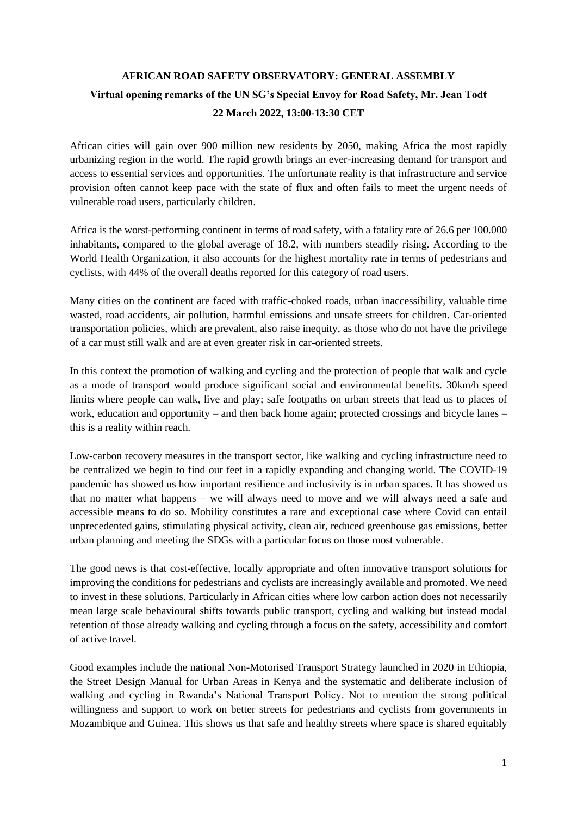## **AFRICAN ROAD SAFETY OBSERVATORY: GENERAL ASSEMBLY Virtual opening remarks of the UN SG's Special Envoy for Road Safety, Mr. Jean Todt 22 March 2022, 13:00-13:30 CET**

African cities will gain over 900 million new residents by 2050, making Africa the most rapidly urbanizing region in the world. The rapid growth brings an ever-increasing demand for transport and access to essential services and opportunities. The unfortunate reality is that infrastructure and service provision often cannot keep pace with the state of flux and often fails to meet the urgent needs of vulnerable road users, particularly children.

Africa is the worst-performing continent in terms of road safety, with a fatality rate of 26.6 per 100.000 inhabitants, compared to the global average of 18.2, with numbers steadily rising. According to the World Health Organization, it also accounts for the highest mortality rate in terms of pedestrians and cyclists, with 44% of the overall deaths reported for this category of road users.

Many cities on the continent are faced with traffic-choked roads, urban inaccessibility, valuable time wasted, road accidents, air pollution, harmful emissions and unsafe streets for children. Car-oriented transportation policies, which are prevalent, also raise inequity, as those who do not have the privilege of a car must still walk and are at even greater risk in car-oriented streets.

In this context the promotion of walking and cycling and the protection of people that walk and cycle as a mode of transport would produce significant social and environmental benefits. 30km/h speed limits where people can walk, live and play; safe footpaths on urban streets that lead us to places of work, education and opportunity – and then back home again; protected crossings and bicycle lanes – this is a reality within reach.

Low-carbon recovery measures in the transport sector, like walking and cycling infrastructure need to be centralized we begin to find our feet in a rapidly expanding and changing world. The COVID-19 pandemic has showed us how important resilience and inclusivity is in urban spaces. It has showed us that no matter what happens – we will always need to move and we will always need a safe and accessible means to do so. Mobility constitutes a rare and exceptional case where Covid can entail unprecedented gains, stimulating physical activity, clean air, reduced greenhouse gas emissions, better urban planning and meeting the SDGs with a particular focus on those most vulnerable.

The good news is that cost-effective, locally appropriate and often innovative transport solutions for improving the conditions for pedestrians and cyclists are increasingly available and promoted. We need to invest in these solutions. Particularly in African cities where low carbon action does not necessarily mean large scale behavioural shifts towards public transport, cycling and walking but instead modal retention of those already walking and cycling through a focus on the safety, accessibility and comfort of active travel.

Good examples include the national Non-Motorised Transport Strategy launched in 2020 in Ethiopia, the Street Design Manual for Urban Areas in Kenya and the systematic and deliberate inclusion of walking and cycling in Rwanda's National Transport Policy. Not to mention the strong political willingness and support to work on better streets for pedestrians and cyclists from governments in Mozambique and Guinea. This shows us that safe and healthy streets where space is shared equitably